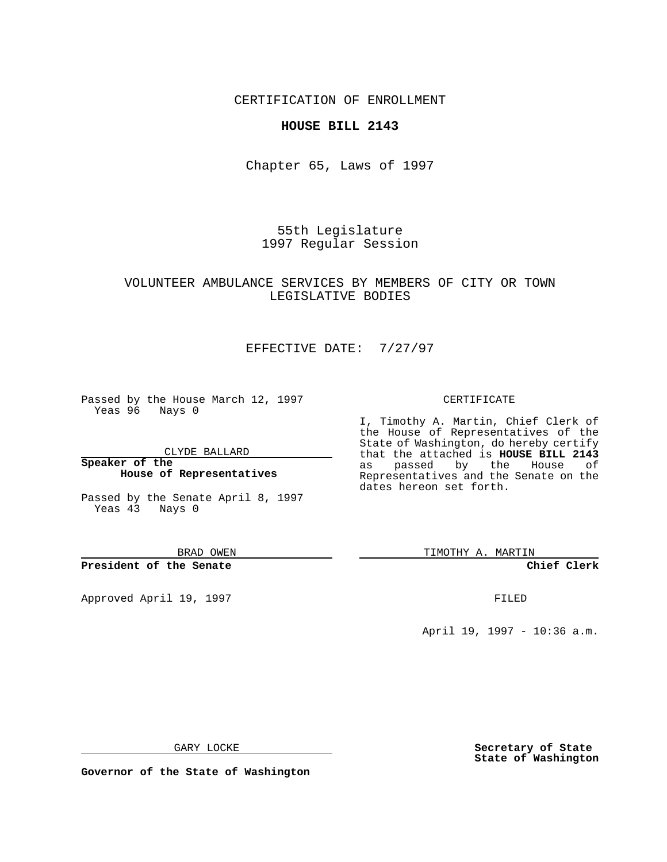CERTIFICATION OF ENROLLMENT

### **HOUSE BILL 2143**

Chapter 65, Laws of 1997

55th Legislature 1997 Regular Session

### VOLUNTEER AMBULANCE SERVICES BY MEMBERS OF CITY OR TOWN LEGISLATIVE BODIES

# EFFECTIVE DATE: 7/27/97

Passed by the House March 12, 1997 Yeas 96 Nays 0

CLYDE BALLARD

**Speaker of the House of Representatives**

Passed by the Senate April 8, 1997 Yeas  $\overline{43}$  Nays 0

BRAD OWEN

**President of the Senate**

Approved April 19, 1997 **FILED** 

#### CERTIFICATE

I, Timothy A. Martin, Chief Clerk of the House of Representatives of the State of Washington, do hereby certify that the attached is **HOUSE BILL 2143** as passed by the House of Representatives and the Senate on the dates hereon set forth.

TIMOTHY A. MARTIN

**Chief Clerk**

April 19, 1997 - 10:36 a.m.

GARY LOCKE

**Secretary of State State of Washington**

**Governor of the State of Washington**